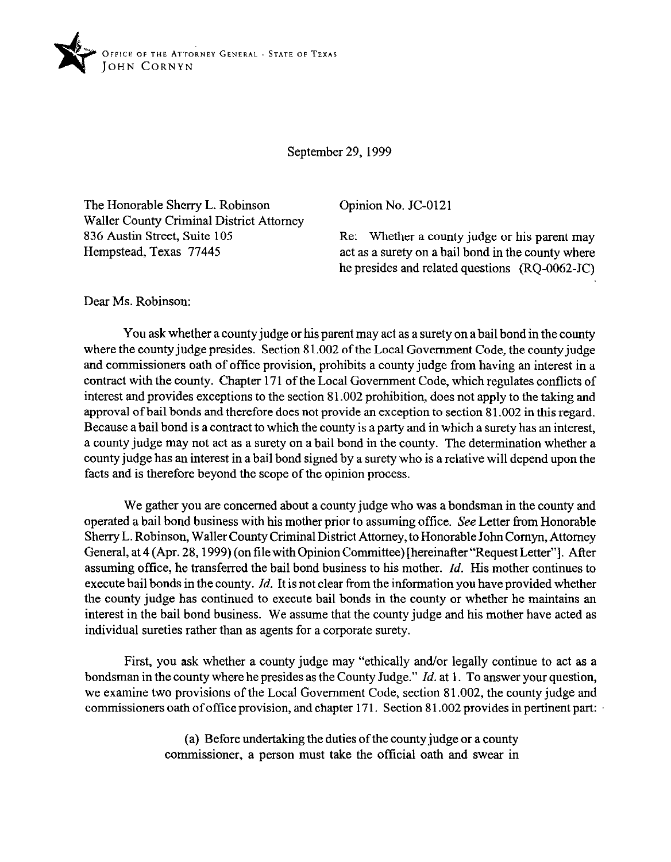

September 29, 1999

The Honorable Sherry L. Robinson Waller County Criminal District Attorney 836 Austin Street, Suite 105 Hempstead, Texas 77445

Opinion No. JC-0121

Re: Whether a county judge or his parent may act as a surety on a bail bond in the county where he presides and related questions (RQ-0062-JC)

Dear Ms. Robinson:

You ask whether a county judge or his parent may act as a surety on a bail bond in the county where the county judge presides. Section 81.002 of the Local Government Code, the county judge and commissioners oath of office provision, prohibits a county judge from having an interest in a contract with the county. Chapter 171 of the Local Government Code, which regulates conflicts of interest and provides exceptions to the section 81.002 prohibition, does not apply to the taking and approval of bail bonds and therefore does not provide an exception to section 81.002 in this regard. Because a bail bond is a contract to which the county is a party and in which a surety has an interest, a county judge may not act as a surety on a bail bond in the county. The determination whether a county judge haa an interest in a bail bond signed by a surety who is a relative will depend upon the facts and is therefore beyond the scope of the opinion process.

We gather you are concerned about a county judge who was a bondsman in the county and operated a bail bond business with his mother prior to assuming office. See Letter from Honorable Sherry L. Robinson, Waller County Criminal District Attorney, to Honorable John Comyn, Attorney General, at 4 (Apr. 28,1999) (on tile with Opinion Committee) [hereinafter "Request Letter"]. After assuming offtce, he transferred the bail bond business to his mother. *Id.* His mother continues to execute bail bonds in the county. *Id.* It is not clear from the information you have provided whether the county judge has continued to execute bail bonds in the county or whether he maintains an interest in the bail bond business. We assume that the county judge and his mother have acted as individual sureties rather than as agents for a corporate surety.

First, you ask whether a county judge may "ethically and/or legally continue to act as a bondsman in the county where he presides as the County Judge." *Id.* at 1. To answer your question, we examine two provisions of the Local Government Code, section 8 1.002, the county judge and commissioners oath ofoftice provision, and chapter 171. Section 81.002 provides in pertinent part:

> (a) Before undertaking the duties of the county judge or a county commissioner, a person must take the official oath and swear in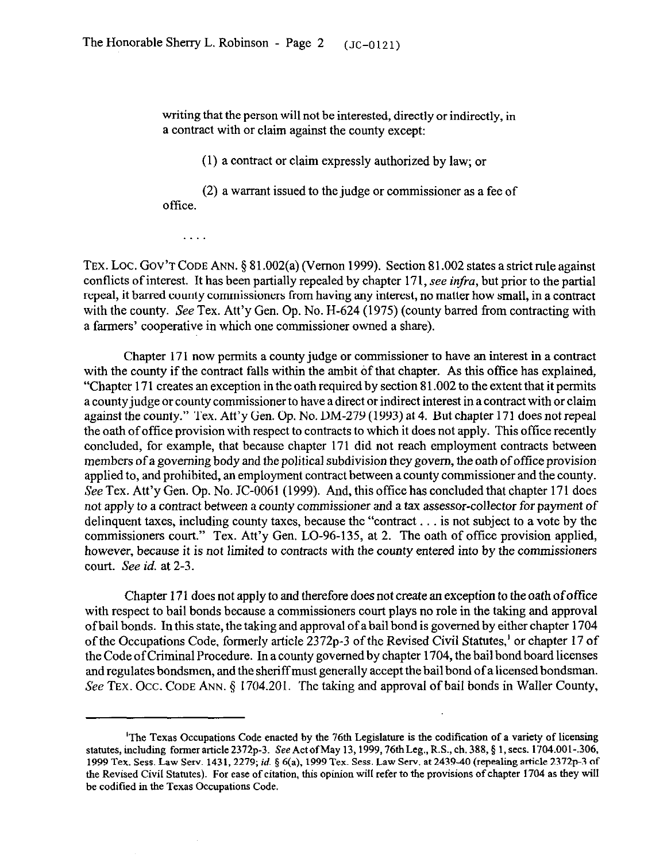writing that the person will not be interested, directly or indirectly, in a contract with or claim against the county except:

(1) a contract or claim expressly authorized by law; or

(2) a warrant issued to the judge or commissioner as a fee of office.

.

TEX. LOC. GOV'T CODE ANN. § 81.002(a) (Vernon 1999). Section 81.002 states a strict rule against conflicts of interest. It has been partially repealed by chapter 171, see infra, but prior to the partial repeal, it barred county commissioners from having any interest, no matter how small, in a contract with the county. See Tex. Att'y Gen. Op. No. H-624 (1975) (county barred from contracting with a farmers' cooperative in which one commissioner owned a share).

Chapter 171 now permits a county judge or commissioner to have an interest in a contract with the county if the contract falls within the ambit of that chapter. As this office has explained, "Chapter 17 1 creates an exception in the oath required by section 8 1.002 to the extent that it permits a county judge or county commissioner to have a direct or indirect interest in a contract with or claim against the county." Tex. Att'y Gen. Op. No. DM-279 (1993) at 4. But chapter 171 does not repeal the oath of office provision with respect to contracts to which it does not apply. This office recently concluded, for example, that because chapter 171 did not reach employment contracts between members of a governing body and the political subdivision they govern, the oath of office provision' applied to, and prohibited, an employment contract between a county commissioner and the county. See Tex. Att'y Gen. Op. No. JC-0061 (1999). And, this office has concluded that chapter 171 does not apply to a contract between a county commissioner and a tax assessor-collector for payment of delinquent taxes, including county taxes, because the "contract . . is not subject to a vote by the commissioners court." Tex. Att'y Gen. LO-96-135, at 2. The oath of office provision applied, however, because it is not limited to contracts with the county entered into by the commissioners *court. See id.* at 2-3.

Chapter 171 does not apply to and therefore does not create an exception to the oath ofoffice with respect to bail bonds because a commissioners court plays no role in the taking and approval of bail bonds. In this state, the taking and approval of a bail bond is governed by either chapter 1704 of the Occupations Code, formerly article 2372p-3 of the Revised Civil Statutes,' or chapter 17 of the Code of Criminal Procedure. In a county governed by chapter 1704, the bail bond board licenses and regulates bondsmen, and the sheriffmust generally accept the bail bond of a licensed bondsman. See TEX. Occ. CODE ANN. § 1704.201. The taking and approval of bail bonds in Waller County,

<sup>&#</sup>x27;The Texas Occupations Code enacted by the 76th Legislature is the codification of a variety of licensing statutes, including former article  $2372p-3$ . See Act of May 13, 1999, 76th Leg., R.S., ch. 388, § 1, secs. 1704.001-.306, 1999 Tex. Sess. Law Serv. 1431, 2279; *id.* § 6(a), 1999 Tex. Sess. Law Serv. at 2439-40 (repealing article 2372p-3 of the Revised Civil Statutes). For ease of citation, this opinion will refer to the provisions of chapter 1704 as they will be codified in the Texas Occupations Code.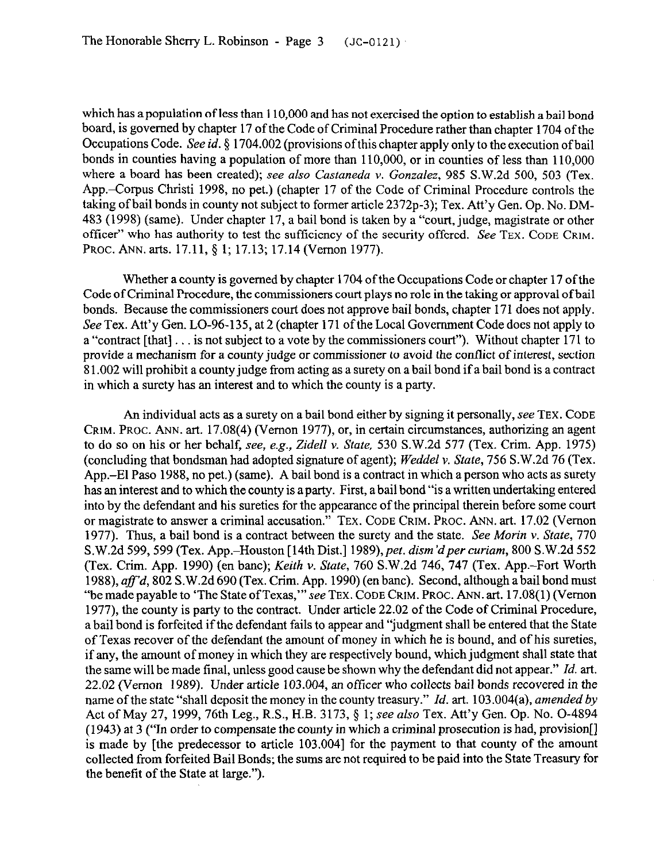which has a population of less than 110,000 and has not exercised the option to establish a bail bond board, is governed by chapter 17 of the Code of Criminal Procedure rather than **chapter 1704 ofthe**  Occupations Code. See *id.* § 1704.002 (provisions of this chapter apply only to the execution of bail bonds in counties having a population of more than 110,000, or in counties of less than 110,000 where a board has been created); *see also Castaneda Y. Gonzalez, 985* S.W.2d 500, 503 (Tex. App.-Corpus Christi 1998, no pet.) (chapter 17 of the Code of Criminal Procedure controls the taking of bail bonds in county not subject to former article 2372p-3); Tex. Att'y Gen. Op. No. DM-483 (1998) (same). Under chapter 17, a bail bond is taken by a "court, judge, magistrate or other officer" who has authority to test the sufficiency of the security offered. See **TEX. CODE GRIM. PROC.** ANN. arts. 17.11, 5 1; 17.13; 17.14 (Vernon 1977).

Whether a county is governed by chapter 1704 of the Occupations Code or chapter 17 of the Code of Criminal Procedure, the commissioners court plays no role in the taking or approval ofbail bonds. Because the commissioners court does not approve bail bonds, chapter 171 does not apply. See Tex. Att'y Gen. LO-96-135, at 2 (chapter 171 of the Local Government Code does not apply to a "contract [that] . . is not subject to a vote by the commissioners court"). Without chapter 171 to provide a mechanism for a county judge or commissioner to avoid the conflict of interest, section 8 1.002 will prohibit a county judge from acting as a surety on a bail bond if a bail bond is a contract in which a surety has an interest and to which the county is a party.

An individual acts as a surety on a bail bond either by signing it personally, see TEX. CODE CRIM. PROC. ANN. art. 17.08(4) (Vernon 1977), or, in certain circumstances, authorizing an agent to do so on his or her behalf, see, *e.g., Zidell* Y. *State,* 530 S.W.2d 577 (Tex. Crim. App. 1975) (concluding that bondsman had adopted signature of agent); *Weddel v. State, 756* S.W.2d 76 (Tex. App.-El Paso 1988, no pet.) (same). A bail bond is a contract in which a person who acts aa surety has an interest and to which the county is a party. First, a bail bond "is a written undertaking entered into by the defendant and his sureties for the appearance of the principal therein before some court or magistrate to answer a criminal accusation." **TEX. CODE GRIM. PROC. ANN.** art. 17.02 (Vernon 1977). Thus, a bail bond is a contract between the surety and the state. See Morin v. *State, 770*  S.W.2d 599, 599 (Tex. App.–Houston [14th Dist.] 1989), pet. dism'd per curiam, 800 S.W.2d 552 (Tex. Crim. App. 1990) (en bane); *Keith v. State,* 760 S.W.2d 746, 747 (Tex. App.-Fort Worth 1988), *aff'd*, 802 S.W.2d 690 (Tex. Crim. App. 1990) (en banc). Second, although a bail bond must "be made payable to 'The State of Texas,"' see **TEX. CODE GRIM. PROC. ANN. art. 17.08(l)** (Vernon 1977), the county is party to the contract. Under article 22.02 of the Code of Criminal Procedure, a bail bond is forfeited if the defendant fails to appear and "judgment shall be entered that the State of Texas recover of the defendant the amount of money in which he is bound, and of his sureties, if any, the amount of money in which they are respectively bound, which judgment shall state that the same will be made final, unless good cause be shown why the defendant did not appear." *Id. art.*  22.02 (Vernon 1989). Under article 103.004, an officer who collects bail bonds recovered in the name of the state "shall deposit the money in the county treasury." *Id. art.* 103.004(a), *amended by*  Act of May 27, 1999, 76th Leg., R.S., H.B. 3173, 5 1; see *also* Tex. Att'y Gen. Op. No. O-4894 (1943) at 3 ("In order to compensate the county in which a criminal prosecution is had, provision[] is made by [the predecessor to article 103.004] for the payment to that county of the amount collected from forfeited Bail Bonds; the sums are not required to be paid into the State Treasury for the benefit of the State at large.").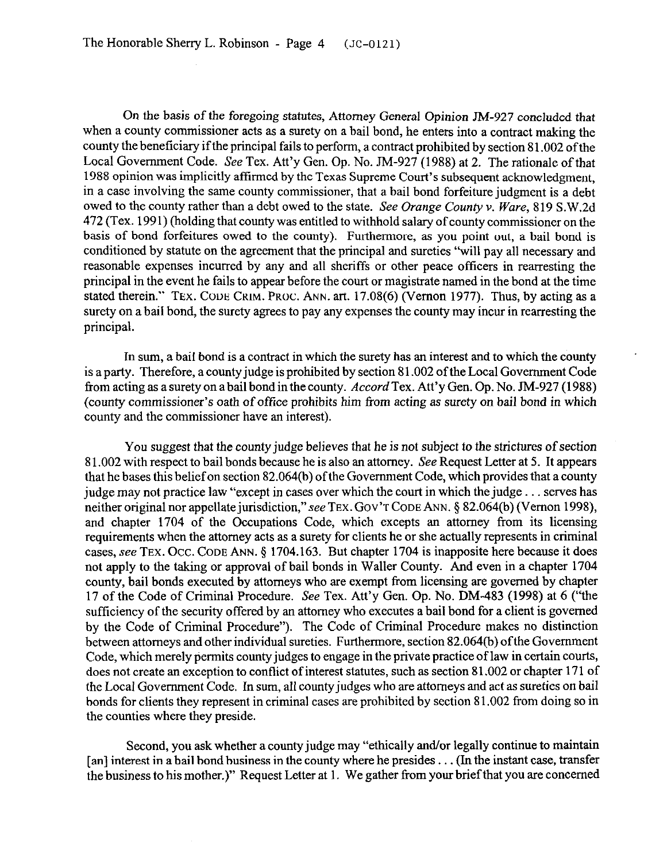On the basis of the foregoing statutes, Attorney General Opinion JM-927 concluded that when a county commissioner acts as a surety on a bail bond, he enters into a contract **making** the county the beneficiary if the principal fails to perform, a contract prohibited by section 81.002 of the Local Government Code. See Tex. Att'y Gen. Op. No. JM-927 (1988) at 2. The rationale of that 1988 opinion was implicitly affirmed by the Texas Supreme Court's subsequent acknowledgment, in a case involving the same county commissioner, that a bail bond forfeiture judgment is a debt owed to the county rather than a debt owed to the state. See Orange County v. Ware, 819 S.W.2d 472 (Tex. 1991) (holding that county was entitled to withhold salary of county commissioner on the basis of bond forfeitures owed to the county). Furthermore, as you point out, a bail bond is conditioned by statute on the agreement that the principal and sureties "will pay all necessary and reasonable expenses incurred by any and all sheriffs or other peace officers in rearresting the principal in the event he fails to appear before the court or magistrate named in the bond at the time stated therein." TEX. CODE CRIM. PROC. ANN. art. 17.08(6) (Vernon 1977). Thus, by acting as a surety on a bail bond, the surety agrees to pay any expenses the county may incur in rearresting the principal.

In sum, a bail bond is a contract in which the surety haa an interest and to which the county is a party. Therefore, a county judge is prohibited by section 81.002 of the Local Government Code from acting as a surety on a bail bond in the county. *Accord* Tex. Att'y Gen. Op. No. JM-927 (1988) (county commissioner's oath of office prohibits him from acting as surety on bail bond in which county and the commissioner have an interest).

You suggest that the county judge believes that he is not subject to the strictures of section 8 1.002 with respect to bail bonds because he is also an attorney. See Request Letter at 5. It appears that he bases this belief on section 82.064(b) of the Government Code, which provides that a county judge may not practice law "except in cases over which the court in which the judge... serves has neither original nor appellate jurisdiction," see TEX. GOV'T CODE ANN. § 82.064(b) (Vernon 1998), and chapter 1704 of the Occupations Code, which excepts an attorney from its licensing requirements when the attorney acts as a surety for clients he or she actually represents in criminal cases, see TEX. Occ. CODE ANN. § 1704.163. But chapter 1704 is inapposite here because it does not apply to the taking or approval of bail bonds in Waller County. And even in a chapter 1704 county, bail bonds executed by attorneys who are exempt from licensing are governed by chapter 17 of the Code of Criminal Procedure. See Tex. Att'y Gen. Op. No. DM-483 (1998) at 6 ("the sufficiency of the security offered by an attorney who executes a bail bond for a client is governed by the Code of Criminal Procedure"). The Code of Criminal Procedure makes no distinction between attorneys and other individual sureties. Furthermore, section 82.064(b) of the Government Code, which merely permits county judges to engage in the private practice of law in certain courts, does not create an exception to conflict of interest statutes, such as section 81.002 or chapter 171 of the Local Government Code. In sum, all county judges who are attorneys and act as sureties on bail bonds for clients they represent in criminal cases are prohibited by section 81.002 from doing so in the counties where they preside.

Second, you ask whether a county judge may "ethically and/or legally continue to maintain [an] interest in a bail bond business in the county where he presides . . . (In the instant case, transfer the business to his mother.)" Request Letter at 1. We gather from your brief that you are concerned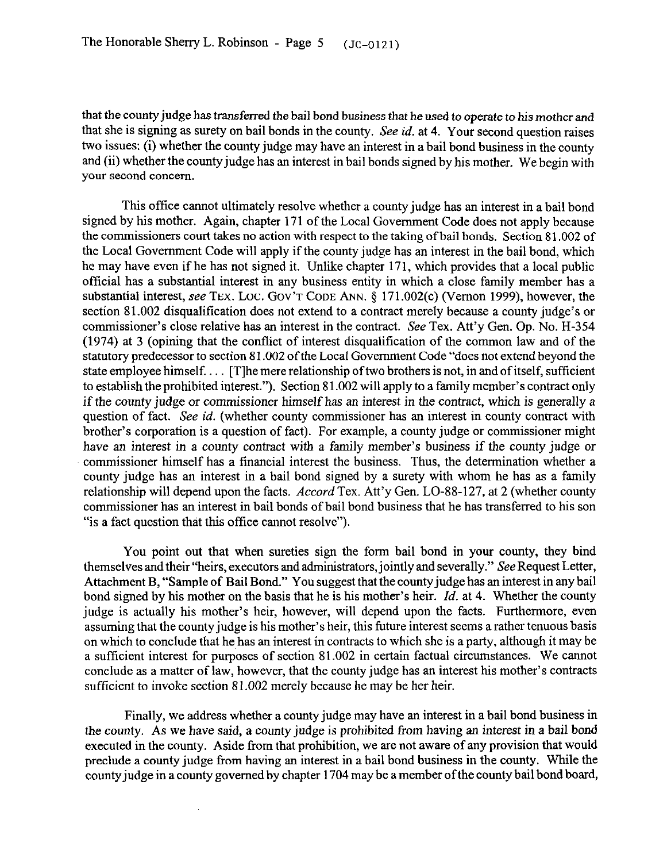that the county judge has transferred the bail bond business that he used to operate to his mother and that she is signing as surety on bail bonds in the county. See *id.* at 4. Your second question raises two issues: (i) whether the county judge may have an interest in a bail bond business in the **county**  and (ii) whether the county judge has an interest in bail bonds signed by his mother. We begin with your second concern.

This office cannot ultimately resolve whether a county judge has an interest in a bail bond signed by his mother. Again, chapter 171 of the Local Government Code does not **apply because**  the commissioners court takes no action with respect to the taking of bail bonds. Section 81.002 of the Local Government Code will apply if the county judge has an interest in the bail bond, which he may have even if he has not signed it. Unlike chapter 171, which provides that a local public official has a substantial interest in any business entity in which a close family member has a substantial interest, see TEX. LOC. GOV'T CODE ANN. § 171.002(c) (Vernon 1999), however, the section 81.002 disqualification does not extend to a contract merely because a county judge's or commissioner's close relative has an interest in the contract. See Tex. Att'y Gen. Op. No. H-354 (1974) at 3 (opining that the conflict of interest disqualification of the common law and of the statutory predecessor to section 8 1.002 of the Local Government Code "does not extend beyond the state employee himself.... [T]he mere relationship of two brothers is not, in and of itself, sufficient to establish the prohibited interest."). Section 8 1.002 will apply to a family member's contract only if the county judge or commissioner himself has an interest in the contract, which is generally a question of fact. See *id.* (whether county commissioner has an interest in county contract with brother's corporation is a question of fact). For example, a county judge or commissioner might have an interest in **a county** contract with a family member's business if the county judge or commissioner himself has a financial interest the business. Thus, the determination whether a county judge has an interest in a bail bond signed by a surety with whom he has as a family relationship will depend upon the facts. *Accord Tex.* Att'y Gen. LO-88-127, at 2 (whether county commissioner haa an interest in bail bonds of bail bond business that he has transferred to his son "is a fact question that this office cannot resolve").

You point out that when sureties sign the form bail bond in your county, they bind themselves and their "heirs, executors and administrators, jointly and severally." See Request Letter, Attachment B, "Sample of Bail Bond." You suggest that the county judge has an interest in any bail bond signed by his mother on the basis that he is his mother's heir. *Id.* **at 4.** Whether the county judge is actually his mother's heir, however, will depend upon the facts. Furthermore, even assuming that the county judge is his mother's heir, this future interest seems a rather tenuous basis on which to conclude that he has an interest in contracts to which she is a party, although it may be a sufficient interest for purposes of section 81.002 in certain factual circumstances. We cannot conclude as a matter of law, however, that the county judge has an interest his mother's contracts sufficient to invoke section 81.002 merely because he may be her heir.

Finally, we address whether a county judge may have an interest in a bail bond business in the county. As we have said, a county judge is prohibited *from* having an interest in a bail bond executed in the county. Aside from that prohibition, we are not *aware* of any provision that would preclude a county judge from having an interest in a bail bond business in the county. While the countyjudge in a county governed by chapter 1704 may be a member of the county bail bond board,

 $\bar{z}$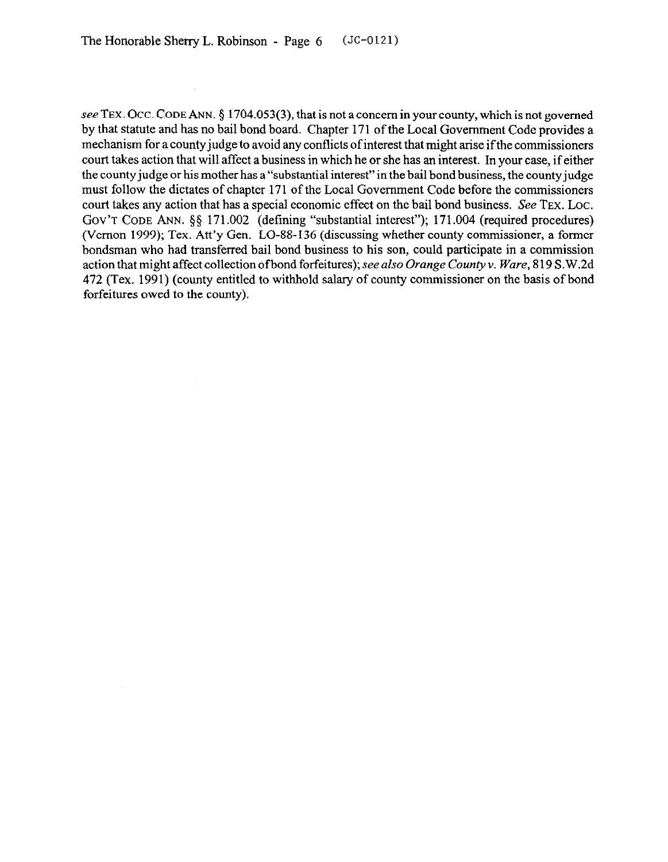see TEX. Occ. CODE ANN. § 1704.053(3), that is not a concern in your county, which is not governed by that statute and has no bail bond board. Chapter 171 of the Local Government Code provides a mechanism for a county judge to avoid any conflicts of interest that might arise ifthe commissioners court takes action that will affect a business in which he or she has an interest. In your case, if either the county judge or his mother has a "substantial interest" in the bail bond business, the county judge must follow the dictates of chapter 171 of the Local Government Code before the commissioners court takes any action that has a special economic effect on the bail bond business. See TEX. Loc. Gov't Cope Ann. §§ 171.002 (defining "substantial interest"); 171.004 (required procedures) (Vernon 1999); Tex. Att'y Gen. LO-88-136 (discussing whether county commissioner, a former bondsman who had transferred bail bond business to his son, could participate in a commission action that might affect collection of bond forfeitures); see also Orange County v. Ware, 819 S.W.2d 472 (Tex. 1991) (county entitled to withhold salary of county commissioner on the basis of bond forfeitures owed to the county).